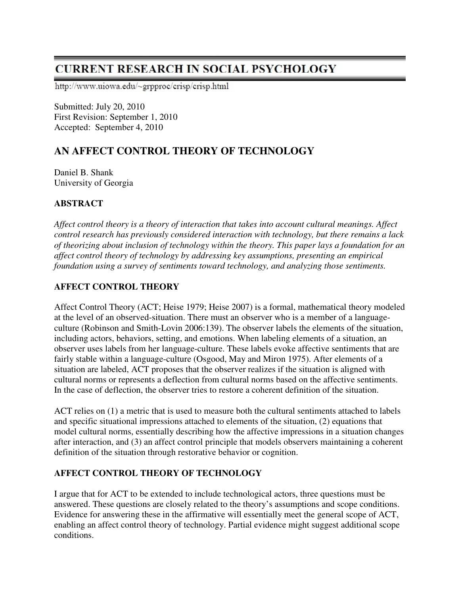# **CURRENT RESEARCH IN SOCIAL PSYCHOLOGY**

http://www.uiowa.edu/~grpproc/crisp/crisp.html

Submitted: July 20, 2010 First Revision: September 1, 2010 Accepted: September 4, 2010

# **AN AFFECT CONTROL THEORY OF TECHNOLOGY**

Daniel B. Shank University of Georgia

# **ABSTRACT**

*Affect control theory is a theory of interaction that takes into account cultural meanings. Affect control research has previously considered interaction with technology, but there remains a lack of theorizing about inclusion of technology within the theory. This paper lays a foundation for an affect control theory of technology by addressing key assumptions, presenting an empirical foundation using a survey of sentiments toward technology, and analyzing those sentiments.* 

# **AFFECT CONTROL THEORY**

Affect Control Theory (ACT; Heise 1979; Heise 2007) is a formal, mathematical theory modeled at the level of an observed-situation. There must an observer who is a member of a languageculture (Robinson and Smith-Lovin 2006:139). The observer labels the elements of the situation, including actors, behaviors, setting, and emotions. When labeling elements of a situation, an observer uses labels from her language-culture. These labels evoke affective sentiments that are fairly stable within a language-culture (Osgood, May and Miron 1975). After elements of a situation are labeled, ACT proposes that the observer realizes if the situation is aligned with cultural norms or represents a deflection from cultural norms based on the affective sentiments. In the case of deflection, the observer tries to restore a coherent definition of the situation.

ACT relies on (1) a metric that is used to measure both the cultural sentiments attached to labels and specific situational impressions attached to elements of the situation, (2) equations that model cultural norms, essentially describing how the affective impressions in a situation changes after interaction, and (3) an affect control principle that models observers maintaining a coherent definition of the situation through restorative behavior or cognition.

# **AFFECT CONTROL THEORY OF TECHNOLOGY**

I argue that for ACT to be extended to include technological actors, three questions must be answered. These questions are closely related to the theory's assumptions and scope conditions. Evidence for answering these in the affirmative will essentially meet the general scope of ACT, enabling an affect control theory of technology. Partial evidence might suggest additional scope conditions.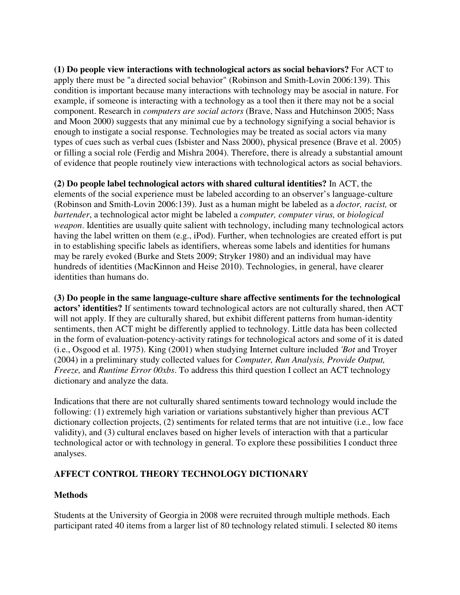**(1) Do people view interactions with technological actors as social behaviors?** For ACT to apply there must be "a directed social behavior" (Robinson and Smith-Lovin 2006:139). This condition is important because many interactions with technology may be asocial in nature. For example, if someone is interacting with a technology as a tool then it there may not be a social component. Research in *computers are social actors* (Brave, Nass and Hutchinson 2005; Nass and Moon 2000) suggests that any minimal cue by a technology signifying a social behavior is enough to instigate a social response. Technologies may be treated as social actors via many types of cues such as verbal cues (Isbister and Nass 2000), physical presence (Brave et al. 2005) or filling a social role (Ferdig and Mishra 2004). Therefore, there is already a substantial amount of evidence that people routinely view interactions with technological actors as social behaviors.

**(2) Do people label technological actors with shared cultural identities?** In ACT, the elements of the social experience must be labeled according to an observer's language-culture (Robinson and Smith-Lovin 2006:139). Just as a human might be labeled as a *doctor, racist,* or *bartender*, a technological actor might be labeled a *computer, computer virus,* or *biological weapon*. Identities are usually quite salient with technology, including many technological actors having the label written on them (e.g., iPod). Further, when technologies are created effort is put in to establishing specific labels as identifiers, whereas some labels and identities for humans may be rarely evoked (Burke and Stets 2009; Stryker 1980) and an individual may have hundreds of identities (MacKinnon and Heise 2010). Technologies, in general, have clearer identities than humans do.

**(3) Do people in the same language-culture share affective sentiments for the technological actors' identities?** If sentiments toward technological actors are not culturally shared, then ACT will not apply. If they are culturally shared, but exhibit different patterns from human-identity sentiments, then ACT might be differently applied to technology. Little data has been collected in the form of evaluation-potency-activity ratings for technological actors and some of it is dated (i.e., Osgood et al. 1975). King (2001) when studying Internet culture included *'Bot* and Troyer (2004) in a preliminary study collected values for *Computer, Run Analysis, Provide Output, Freeze,* and *Runtime Error 00xbs*. To address this third question I collect an ACT technology dictionary and analyze the data.

Indications that there are not culturally shared sentiments toward technology would include the following: (1) extremely high variation or variations substantively higher than previous ACT dictionary collection projects, (2) sentiments for related terms that are not intuitive (i.e., low face validity), and (3) cultural enclaves based on higher levels of interaction with that a particular technological actor or with technology in general. To explore these possibilities I conduct three analyses.

# **AFFECT CONTROL THEORY TECHNOLOGY DICTIONARY**

# **Methods**

Students at the University of Georgia in 2008 were recruited through multiple methods. Each participant rated 40 items from a larger list of 80 technology related stimuli. I selected 80 items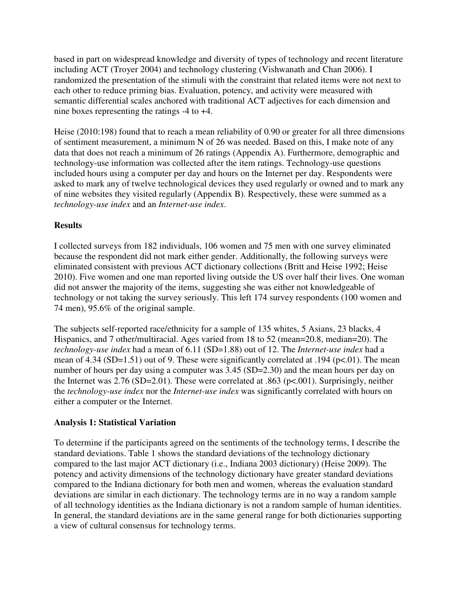based in part on widespread knowledge and diversity of types of technology and recent literature including ACT (Troyer 2004) and technology clustering (Vishwanath and Chan 2006). I randomized the presentation of the stimuli with the constraint that related items were not next to each other to reduce priming bias. Evaluation, potency, and activity were measured with semantic differential scales anchored with traditional ACT adjectives for each dimension and nine boxes representing the ratings -4 to +4.

Heise (2010:198) found that to reach a mean reliability of 0.90 or greater for all three dimensions of sentiment measurement, a minimum N of 26 was needed. Based on this, I make note of any data that does not reach a minimum of 26 ratings (Appendix A). Furthermore, demographic and technology-use information was collected after the item ratings. Technology-use questions included hours using a computer per day and hours on the Internet per day. Respondents were asked to mark any of twelve technological devices they used regularly or owned and to mark any of nine websites they visited regularly (Appendix B). Respectively, these were summed as a *technology-use index* and an *Internet-use index*.

# **Results**

I collected surveys from 182 individuals, 106 women and 75 men with one survey eliminated because the respondent did not mark either gender. Additionally, the following surveys were eliminated consistent with previous ACT dictionary collections (Britt and Heise 1992; Heise 2010). Five women and one man reported living outside the US over half their lives. One woman did not answer the majority of the items, suggesting she was either not knowledgeable of technology or not taking the survey seriously. This left 174 survey respondents (100 women and 74 men), 95.6% of the original sample.

The subjects self-reported race/ethnicity for a sample of 135 whites, 5 Asians, 23 blacks, 4 Hispanics, and 7 other/multiracial. Ages varied from 18 to 52 (mean=20.8, median=20). The *technology-use index* had a mean of 6.11 (SD=1.88) out of 12. The *Internet-use index* had a mean of 4.34 (SD=1.51) out of 9. These were significantly correlated at .194 (p<.01). The mean number of hours per day using a computer was  $3.45$  (SD=2.30) and the mean hours per day on the Internet was  $2.76$  (SD=2.01). These were correlated at .863 (p<.001). Surprisingly, neither the *technology-use index* nor the *Internet-use index* was significantly correlated with hours on either a computer or the Internet.

# **Analysis 1: Statistical Variation**

To determine if the participants agreed on the sentiments of the technology terms, I describe the standard deviations. Table 1 shows the standard deviations of the technology dictionary compared to the last major ACT dictionary (i.e., Indiana 2003 dictionary) (Heise 2009). The potency and activity dimensions of the technology dictionary have greater standard deviations compared to the Indiana dictionary for both men and women, whereas the evaluation standard deviations are similar in each dictionary. The technology terms are in no way a random sample of all technology identities as the Indiana dictionary is not a random sample of human identities. In general, the standard deviations are in the same general range for both dictionaries supporting a view of cultural consensus for technology terms.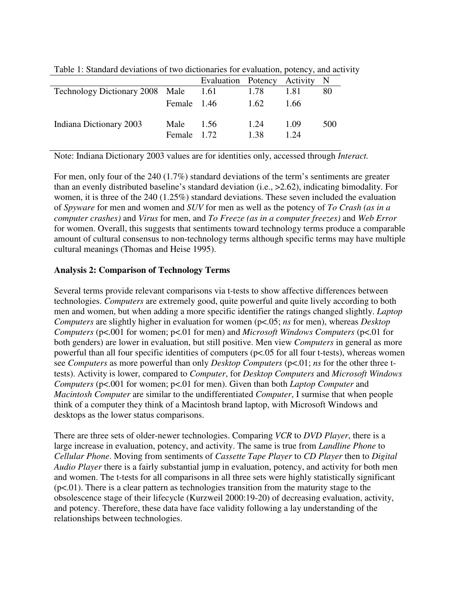|                                 |                            | Evaluation Potency Activity N |              |              |     |
|---------------------------------|----------------------------|-------------------------------|--------------|--------------|-----|
| Technology Dictionary 2008 Male |                            | 1.61                          | 1.78         | 1.81         | 80  |
|                                 | Female 1.46                |                               | 1.62         | 1.66         |     |
| Indiana Dictionary 2003         | Male $1.56$<br>Female 1.72 |                               | 1.24<br>1.38 | 1.09<br>1 24 | 500 |

Table 1: Standard deviations of two dictionaries for evaluation, potency, and activity

Note: Indiana Dictionary 2003 values are for identities only, accessed through *Interact.* 

For men, only four of the 240 (1.7%) standard deviations of the term's sentiments are greater than an evenly distributed baseline's standard deviation (i.e., >2.62), indicating bimodality. For women, it is three of the 240 (1.25%) standard deviations. These seven included the evaluation of *Spyware* for men and women and *SUV* for men as well as the potency of *To Crash (as in a computer crashes)* and *Virus* for men, and *To Freeze (as in a computer freezes)* and *Web Error* for women. Overall, this suggests that sentiments toward technology terms produce a comparable amount of cultural consensus to non-technology terms although specific terms may have multiple cultural meanings (Thomas and Heise 1995).

#### **Analysis 2: Comparison of Technology Terms**

Several terms provide relevant comparisons via t-tests to show affective differences between technologies. *Computers* are extremely good, quite powerful and quite lively according to both men and women, but when adding a more specific identifier the ratings changed slightly. *Laptop Computers* are slightly higher in evaluation for women (p<.05; *ns* for men), whereas *Desktop Computers* (p<.001 for women; p<.01 for men) and *Microsoft Windows Computers* (p<.01 for both genders) are lower in evaluation, but still positive. Men view *Computers* in general as more powerful than all four specific identities of computers (p<.05 for all four t-tests), whereas women see *Computers* as more powerful than only *Desktop Computers* (p<.01; *ns* for the other three ttests). Activity is lower, compared to *Computer*, for *Desktop Computers* and *Microsoft Windows Computers* (p<.001 for women; p<.01 for men). Given than both *Laptop Computer* and *Macintosh Computer* are similar to the undifferentiated *Computer*, I surmise that when people think of a computer they think of a Macintosh brand laptop, with Microsoft Windows and desktops as the lower status comparisons.

There are three sets of older-newer technologies. Comparing *VCR* to *DVD Player*, there is a large increase in evaluation, potency, and activity. The same is true from *Landline Phone* to *Cellular Phone*. Moving from sentiments of *Cassette Tape Player* to *CD Player* then to *Digital Audio Player* there is a fairly substantial jump in evaluation, potency, and activity for both men and women. The t-tests for all comparisons in all three sets were highly statistically significant  $(p<.01)$ . There is a clear pattern as technologies transition from the maturity stage to the obsolescence stage of their lifecycle (Kurzweil 2000:19-20) of decreasing evaluation, activity, and potency. Therefore, these data have face validity following a lay understanding of the relationships between technologies.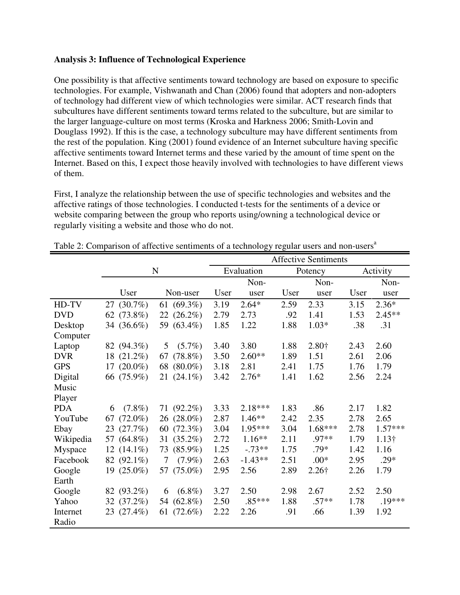#### **Analysis 3: Influence of Technological Experience**

One possibility is that affective sentiments toward technology are based on exposure to specific technologies. For example, Vishwanath and Chan (2006) found that adopters and non-adopters of technology had different view of which technologies were similar. ACT research finds that subcultures have different sentiments toward terms related to the subculture, but are similar to the larger language-culture on most terms (Kroska and Harkness 2006; Smith-Lovin and Douglass 1992). If this is the case, a technology subculture may have different sentiments from the rest of the population. King (2001) found evidence of an Internet subculture having specific affective sentiments toward Internet terms and these varied by the amount of time spent on the Internet. Based on this, I expect those heavily involved with technologies to have different views of them.

First, I analyze the relationship between the use of specific technologies and websites and the affective ratings of those technologies. I conducted t-tests for the sentiments of a device or website comparing between the group who reports using/owning a technological device or regularly visiting a website and those who do not.

|            |                  |                     | <b>Affective Sentiments</b> |            |      |               |      |               |
|------------|------------------|---------------------|-----------------------------|------------|------|---------------|------|---------------|
|            | $\mathbf N$      |                     |                             | Evaluation |      | Potency       |      | Activity      |
|            |                  |                     |                             | Non-       |      | Non-          |      | Non-          |
|            | User             | Non-user            | User                        | user       | User | user          | User | user          |
| HD-TV      | 27 (30.7%)       | 61 $(69.3\%)$       | 3.19                        | $2.64*$    | 2.59 | 2.33          | 3.15 | $2.36*$       |
| <b>DVD</b> | 62 (73.8%)       | 22 (26.2%)          | 2.79                        | 2.73       | .92  | 1.41          | 1.53 | $2.45**$      |
| Desktop    | 34 (36.6%)       | 59 (63.4%)          | 1.85                        | 1.22       | 1.88 | $1.03*$       | .38  | .31           |
| Computer   |                  |                     |                             |            |      |               |      |               |
| Laptop     | 82 (94.3%)       | 5<br>$(5.7\%)$      | 3.40                        | 3.80       | 1.88 | 2.80†         | 2.43 | 2.60          |
| <b>DVR</b> | 18 (21.2%)       | $(78.8\%)$<br>67    | 3.50                        | $2.60**$   | 1.89 | 1.51          | 2.61 | 2.06          |
| <b>GPS</b> | 17 $(20.0\%)$    | 68 (80.0%)          | 3.18                        | 2.81       | 2.41 | 1.75          | 1.76 | 1.79          |
| Digital    | 66 (75.9%)       | 21 $(24.1\%)$       | 3.42                        | $2.76*$    | 1.41 | 1.62          | 2.56 | 2.24          |
| Music      |                  |                     |                             |            |      |               |      |               |
| Player     |                  |                     |                             |            |      |               |      |               |
| <b>PDA</b> | $(7.8\%)$<br>6   | 71 (92.2%)          | 3.33                        | $2.18***$  | 1.83 | .86           | 2.17 | 1.82          |
| YouTube    | $(72.0\%)$<br>67 | 26 (28.0%)          | 2.87                        | $1.46**$   | 2.42 | 2.35          | 2.78 | 2.65          |
| Ebay       | 23 (27.7%)       | 60 (72.3%)          | 3.04                        | $1.95***$  | 3.04 | $1.68***$     | 2.78 | $1.57***$     |
| Wikipedia  | 57 (64.8%)       | 31 (35.2%)          | 2.72                        | $1.16**$   | 2.11 | $.97**$       | 1.79 | $1.13\dagger$ |
| Myspace    | 12 $(14.1\%)$    | 73 (85.9%)          | 1.25                        | $-.73**$   | 1.75 | .79*          | 1.42 | 1.16          |
| Facebook   | 82 (92.1%)       | $(7.9\%)$<br>$\tau$ | 2.63                        | $-1.43**$  | 2.51 | $.00*$        | 2.95 | $.29*$        |
| Google     | 19 $(25.0\%)$    | 57 (75.0%)          | 2.95                        | 2.56       | 2.89 | $2.26\dagger$ | 2.26 | 1.79          |
| Earth      |                  |                     |                             |            |      |               |      |               |
| Google     | 82 (93.2%)       | $(6.8\%)$<br>6      | 3.27                        | 2.50       | 2.98 | 2.67          | 2.52 | 2.50          |
| Yahoo      | 32 (37.2%)       | 54 (62.8%)          | 2.50                        | $.85***$   | 1.88 | $.57**$       | 1.78 | .19***        |
| Internet   | 23 (27.4%)       | 61 (72.6%)          | 2.22                        | 2.26       | .91  | .66           | 1.39 | 1.92          |
| Radio      |                  |                     |                             |            |      |               |      |               |

Table 2: Comparison of affective sentiments of a technology regular users and non-users<sup>a</sup>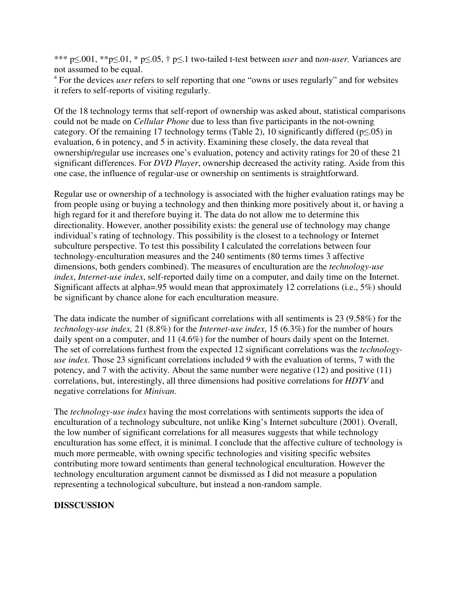\*\*\* p≤.001, \*\*p≤.01, \* p≤.05, † p≤.1 two-tailed t-test between *user* and n*on-user.* Variances are not assumed to be equal.

<sup>a</sup> For the devices *user* refers to self reporting that one "owns or uses regularly" and for websites it refers to self-reports of visiting regularly.

Of the 18 technology terms that self-report of ownership was asked about, statistical comparisons could not be made on *Cellular Phone* due to less than five participants in the not-owning category. Of the remaining 17 technology terms (Table 2), 10 significantly differed ( $p \le 0.05$ ) in evaluation, 6 in potency, and 5 in activity. Examining these closely, the data reveal that ownership/regular use increases one's evaluation, potency and activity ratings for 20 of these 21 significant differences. For *DVD Player*, ownership decreased the activity rating. Aside from this one case, the influence of regular-use or ownership on sentiments is straightforward.

Regular use or ownership of a technology is associated with the higher evaluation ratings may be from people using or buying a technology and then thinking more positively about it, or having a high regard for it and therefore buying it. The data do not allow me to determine this directionality. However, another possibility exists: the general use of technology may change individual's rating of technology. This possibility is the closest to a technology or Internet subculture perspective. To test this possibility I calculated the correlations between four technology-enculturation measures and the 240 sentiments (80 terms times 3 affective dimensions, both genders combined). The measures of enculturation are the *technology-use index*, *Internet-use index*, self-reported daily time on a computer, and daily time on the Internet. Significant affects at alpha=.95 would mean that approximately 12 correlations (i.e., 5%) should be significant by chance alone for each enculturation measure.

The data indicate the number of significant correlations with all sentiments is 23 (9.58%) for the *technology-use index,* 21 (8.8%) for the *Internet-use index*, 15 (6.3%) for the number of hours daily spent on a computer, and 11 (4.6%) for the number of hours daily spent on the Internet. The set of correlations furthest from the expected 12 significant correlations was the *technologyuse index*. Those 23 significant correlations included 9 with the evaluation of terms, 7 with the potency, and 7 with the activity. About the same number were negative (12) and positive (11) correlations, but, interestingly, all three dimensions had positive correlations for *HDTV* and negative correlations for *Minivan*.

The *technology-use index* having the most correlations with sentiments supports the idea of enculturation of a technology subculture, not unlike King's Internet subculture (2001). Overall, the low number of significant correlations for all measures suggests that while technology enculturation has some effect, it is minimal. I conclude that the affective culture of technology is much more permeable, with owning specific technologies and visiting specific websites contributing more toward sentiments than general technological enculturation. However the technology enculturation argument cannot be dismissed as I did not measure a population representing a technological subculture, but instead a non-random sample.

# **DISSCUSSION**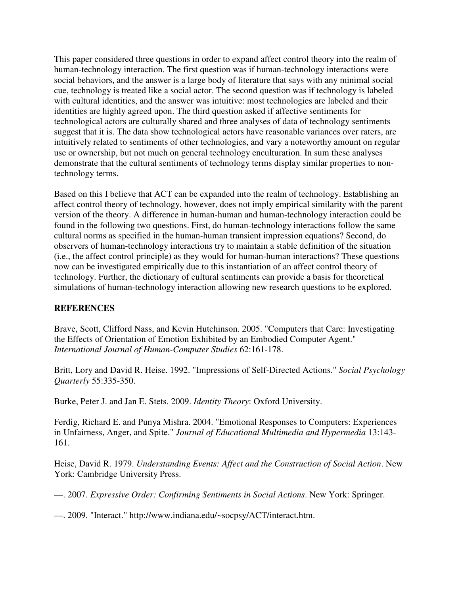This paper considered three questions in order to expand affect control theory into the realm of human-technology interaction. The first question was if human-technology interactions were social behaviors, and the answer is a large body of literature that says with any minimal social cue, technology is treated like a social actor. The second question was if technology is labeled with cultural identities, and the answer was intuitive: most technologies are labeled and their identities are highly agreed upon. The third question asked if affective sentiments for technological actors are culturally shared and three analyses of data of technology sentiments suggest that it is. The data show technological actors have reasonable variances over raters, are intuitively related to sentiments of other technologies, and vary a noteworthy amount on regular use or ownership, but not much on general technology enculturation. In sum these analyses demonstrate that the cultural sentiments of technology terms display similar properties to nontechnology terms.

Based on this I believe that ACT can be expanded into the realm of technology. Establishing an affect control theory of technology, however, does not imply empirical similarity with the parent version of the theory. A difference in human-human and human-technology interaction could be found in the following two questions. First, do human-technology interactions follow the same cultural norms as specified in the human-human transient impression equations? Second, do observers of human-technology interactions try to maintain a stable definition of the situation (i.e., the affect control principle) as they would for human-human interactions? These questions now can be investigated empirically due to this instantiation of an affect control theory of technology. Further, the dictionary of cultural sentiments can provide a basis for theoretical simulations of human-technology interaction allowing new research questions to be explored.

# **REFERENCES**

Brave, Scott, Clifford Nass, and Kevin Hutchinson. 2005. "Computers that Care: Investigating the Effects of Orientation of Emotion Exhibited by an Embodied Computer Agent." *International Journal of Human-Computer Studies* 62:161-178.

Britt, Lory and David R. Heise. 1992. "Impressions of Self-Directed Actions." *Social Psychology Quarterly* 55:335-350.

Burke, Peter J. and Jan E. Stets. 2009. *Identity Theory*: Oxford University.

Ferdig, Richard E. and Punya Mishra. 2004. "Emotional Responses to Computers: Experiences in Unfairness, Anger, and Spite." *Journal of Educational Multimedia and Hypermedia* 13:143- 161.

Heise, David R. 1979. *Understanding Events: Affect and the Construction of Social Action*. New York: Cambridge University Press.

—. 2007. *Expressive Order: Confirming Sentiments in Social Actions*. New York: Springer.

—. 2009. "Interact." http://www.indiana.edu/~socpsy/ACT/interact.htm.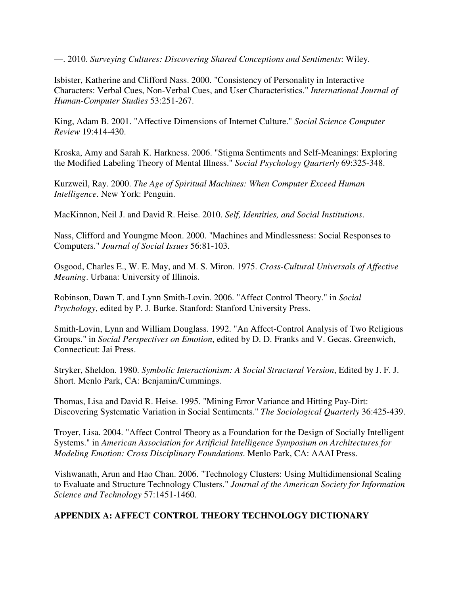—. 2010. *Surveying Cultures: Discovering Shared Conceptions and Sentiments*: Wiley.

Isbister, Katherine and Clifford Nass. 2000. "Consistency of Personality in Interactive Characters: Verbal Cues, Non-Verbal Cues, and User Characteristics." *International Journal of Human-Computer Studies* 53:251-267.

King, Adam B. 2001. "Affective Dimensions of Internet Culture." *Social Science Computer Review* 19:414-430.

Kroska, Amy and Sarah K. Harkness. 2006. "Stigma Sentiments and Self-Meanings: Exploring the Modified Labeling Theory of Mental Illness." *Social Psychology Quarterly* 69:325-348.

Kurzweil, Ray. 2000. *The Age of Spiritual Machines: When Computer Exceed Human Intelligence*. New York: Penguin.

MacKinnon, Neil J. and David R. Heise. 2010. *Self, Identities, and Social Institutions*.

Nass, Clifford and Youngme Moon. 2000. "Machines and Mindlessness: Social Responses to Computers." *Journal of Social Issues* 56:81-103.

Osgood, Charles E., W. E. May, and M. S. Miron. 1975. *Cross-Cultural Universals of Affective Meaning*. Urbana: University of Illinois.

Robinson, Dawn T. and Lynn Smith-Lovin. 2006. "Affect Control Theory." in *Social Psychology*, edited by P. J. Burke. Stanford: Stanford University Press.

Smith-Lovin, Lynn and William Douglass. 1992. "An Affect-Control Analysis of Two Religious Groups." in *Social Perspectives on Emotion*, edited by D. D. Franks and V. Gecas. Greenwich, Connecticut: Jai Press.

Stryker, Sheldon. 1980. *Symbolic Interactionism: A Social Structural Version*, Edited by J. F. J. Short. Menlo Park, CA: Benjamin/Cummings.

Thomas, Lisa and David R. Heise. 1995. "Mining Error Variance and Hitting Pay-Dirt: Discovering Systematic Variation in Social Sentiments." *The Sociological Quarterly* 36:425-439.

Troyer, Lisa. 2004. "Affect Control Theory as a Foundation for the Design of Socially Intelligent Systems." in *American Association for Artificial Intelligence Symposium on Architectures for Modeling Emotion: Cross Disciplinary Foundations*. Menlo Park, CA: AAAI Press.

Vishwanath, Arun and Hao Chan. 2006. "Technology Clusters: Using Multidimensional Scaling to Evaluate and Structure Technology Clusters." *Journal of the American Society for Information Science and Technology* 57:1451-1460.

# **APPENDIX A: AFFECT CONTROL THEORY TECHNOLOGY DICTIONARY**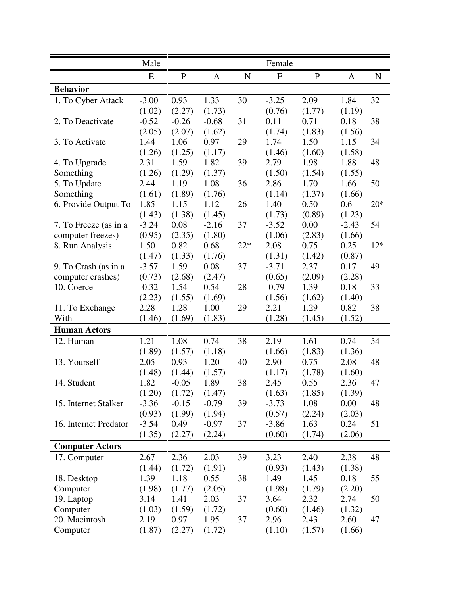|                        | Male    |              |              |             | Female  |             |         |             |
|------------------------|---------|--------------|--------------|-------------|---------|-------------|---------|-------------|
|                        | E       | $\mathbf{P}$ | $\mathbf{A}$ | $\mathbf N$ | E       | $\mathbf P$ | A       | $\mathbf N$ |
| <b>Behavior</b>        |         |              |              |             |         |             |         |             |
| 1. To Cyber Attack     | $-3.00$ | 0.93         | 1.33         | 30          | $-3.25$ | 2.09        | 1.84    | 32          |
|                        | (1.02)  | (2.27)       | (1.73)       |             | (0.76)  | (1.77)      | (1.19)  |             |
| 2. To Deactivate       | $-0.52$ | $-0.26$      | $-0.68$      | 31          | 0.11    | 0.71        | 0.18    | 38          |
|                        | (2.05)  | (2.07)       | (1.62)       |             | (1.74)  | (1.83)      | (1.56)  |             |
| 3. To Activate         | 1.44    | 1.06         | 0.97         | 29          | 1.74    | 1.50        | 1.15    | 34          |
|                        | (1.26)  | (1.25)       | (1.17)       |             | (1.46)  | (1.60)      | (1.58)  |             |
| 4. To Upgrade          | 2.31    | 1.59         | 1.82         | 39          | 2.79    | 1.98        | 1.88    | 48          |
| Something              | (1.26)  | (1.29)       | (1.37)       |             | (1.50)  | (1.54)      | (1.55)  |             |
| 5. To Update           | 2.44    | 1.19         | 1.08         | 36          | 2.86    | 1.70        | 1.66    | 50          |
| Something              | (1.61)  | (1.89)       | (1.76)       |             | (1.14)  | (1.37)      | (1.66)  |             |
| 6. Provide Output To   | 1.85    | 1.15         | 1.12         | 26          | 1.40    | 0.50        | 0.6     | $20*$       |
|                        | (1.43)  | (1.38)       | (1.45)       |             | (1.73)  | (0.89)      | (1.23)  |             |
| 7. To Freeze (as in a  | $-3.24$ | 0.08         | $-2.16$      | 37          | $-3.52$ | 0.00        | $-2.43$ | 54          |
| computer freezes)      | (0.95)  | (2.35)       | (1.80)       |             | (1.06)  | (2.83)      | (1.66)  |             |
| 8. Run Analysis        | 1.50    | 0.82         | 0.68         | $22*$       | 2.08    | 0.75        | 0.25    | $12*$       |
|                        | (1.47)  | (1.33)       | (1.76)       |             | (1.31)  | (1.42)      | (0.87)  |             |
| 9. To Crash (as in a   | $-3.57$ | 1.59         | 0.08         | 37          | $-3.71$ | 2.37        | 0.17    | 49          |
| computer crashes)      | (0.73)  | (2.68)       | (2.47)       |             | (0.65)  | (2.09)      | (2.28)  |             |
| 10. Coerce             | $-0.32$ | 1.54         | 0.54         | 28          | $-0.79$ | 1.39        | 0.18    | 33          |
|                        | (2.23)  | (1.55)       | (1.69)       |             | (1.56)  | (1.62)      | (1.40)  |             |
| 11. To Exchange        | 2.28    | 1.28         | 1.00         | 29          | 2.21    | 1.29        | 0.82    | 38          |
| With                   | (1.46)  | (1.69)       | (1.83)       |             | (1.28)  | (1.45)      | (1.52)  |             |
| <b>Human Actors</b>    |         |              |              |             |         |             |         |             |
| 12. Human              | 1.21    | 1.08         | 0.74         | 38          | 2.19    | 1.61        | 0.74    | 54          |
|                        | (1.89)  | (1.57)       | (1.18)       |             | (1.66)  | (1.83)      | (1.36)  |             |
| 13. Yourself           | 2.05    | 0.93         | 1.20         | 40          | 2.90    | 0.75        | 2.08    | 48          |
|                        | (1.48)  | (1.44)       | (1.57)       |             | (1.17)  | (1.78)      | (1.60)  |             |
| 14. Student            | 1.82    | $-0.05$      | 1.89         | 38          | 2.45    | 0.55        | 2.36    | 47          |
|                        | (1.20)  | (1.72)       | (1.47)       |             | (1.63)  | (1.85)      | (1.39)  |             |
| 15. Internet Stalker   | $-3.36$ | $-0.15$      | $-0.79$      | 39          | $-3.73$ | 1.08        | 0.00    | 48          |
|                        | (0.93)  | (1.99)       | (1.94)       |             | (0.57)  | (2.24)      | (2.03)  |             |
| 16. Internet Predator  | $-3.54$ | 0.49         | $-0.97$      | 37          | $-3.86$ | 1.63        | 0.24    | 51          |
|                        | (1.35)  | (2.27)       | (2.24)       |             | (0.60)  | (1.74)      | (2.06)  |             |
| <b>Computer Actors</b> |         |              |              |             |         |             |         |             |
|                        |         |              |              |             |         |             |         |             |
| 17. Computer           | 2.67    | 2.36         | 2.03         | 39          | 3.23    | 2.40        | 2.38    | 48          |
|                        | (1.44)  | (1.72)       | (1.91)       |             | (0.93)  | (1.43)      | (1.38)  |             |
| 18. Desktop            | 1.39    | 1.18         | 0.55         | 38          | 1.49    | 1.45        | 0.18    | 55          |
| Computer               | (1.98)  | (1.77)       | (2.05)       |             | (1.98)  | (1.79)      | (2.20)  |             |
| 19. Laptop             | 3.14    | 1.41         | 2.03         | 37          | 3.64    | 2.32        | 2.74    | 50          |
| Computer               | (1.03)  | (1.59)       | (1.72)       |             | (0.60)  | (1.46)      | (1.32)  |             |
| 20. Macintosh          | 2.19    | 0.97         | 1.95         | 37          | 2.96    | 2.43        | 2.60    | 47          |
| Computer               | (1.87)  | (2.27)       | (1.72)       |             | (1.10)  | (1.57)      | (1.66)  |             |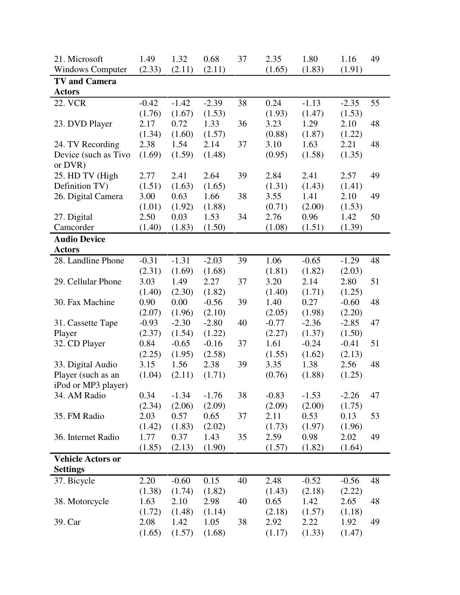| 21. Microsoft            | 1.49    | 1.32    | 0.68    | 37 | 2.35    | 1.80    | 1.16    | 49 |
|--------------------------|---------|---------|---------|----|---------|---------|---------|----|
| <b>Windows Computer</b>  | (2.33)  | (2.11)  | (2.11)  |    | (1.65)  | (1.83)  | (1.91)  |    |
| <b>TV and Camera</b>     |         |         |         |    |         |         |         |    |
| <b>Actors</b>            |         |         |         |    |         |         |         |    |
| <b>22. VCR</b>           | $-0.42$ | $-1.42$ | $-2.39$ | 38 | 0.24    | $-1.13$ | $-2.35$ | 55 |
|                          | (1.76)  | (1.67)  | (1.53)  |    | (1.93)  | (1.47)  | (1.53)  |    |
| 23. DVD Player           | 2.17    | 0.72    | 1.33    | 36 | 3.23    | 1.29    | 2.10    | 48 |
|                          | (1.34)  | (1.60)  | (1.57)  |    | (0.88)  | (1.87)  | (1.22)  |    |
| 24. TV Recording         | 2.38    | 1.54    | 2.14    | 37 | 3.10    | 1.63    | 2.21    | 48 |
| Device (such as Tivo     | (1.69)  | (1.59)  | (1.48)  |    | (0.95)  | (1.58)  | (1.35)  |    |
| or DVR)                  |         |         |         |    |         |         |         |    |
| 25. HD TV (High          | 2.77    | 2.41    | 2.64    | 39 | 2.84    | 2.41    | 2.57    | 49 |
| Definition TV)           | (1.51)  | (1.63)  | (1.65)  |    | (1.31)  | (1.43)  | (1.41)  |    |
| 26. Digital Camera       | 3.00    | 0.63    | 1.66    | 38 | 3.55    | 1.41    | 2.10    | 49 |
|                          | (1.01)  | (1.92)  | (1.88)  |    | (0.71)  | (2.00)  | (1.53)  |    |
| 27. Digital              | 2.50    | 0.03    | 1.53    | 34 | 2.76    | 0.96    | 1.42    | 50 |
| Camcorder                | (1.40)  | (1.83)  | (1.50)  |    | (1.08)  | (1.51)  | (1.39)  |    |
| <b>Audio Device</b>      |         |         |         |    |         |         |         |    |
| <b>Actors</b>            |         |         |         |    |         |         |         |    |
| 28. Landline Phone       | $-0.31$ | $-1.31$ | $-2.03$ | 39 | 1.06    | $-0.65$ | $-1.29$ | 48 |
|                          | (2.31)  | (1.69)  | (1.68)  |    | (1.81)  | (1.82)  | (2.03)  |    |
| 29. Cellular Phone       | 3.03    | 1.49    | 2.27    | 37 | 3.20    | 2.14    | 2.80    | 51 |
|                          | (1.40)  | (2.30)  | (1.82)  |    | (1.40)  | (1.71)  | (1.25)  |    |
| 30. Fax Machine          | 0.90    | 0.00    | $-0.56$ | 39 | 1.40    | 0.27    | $-0.60$ | 48 |
|                          | (2.07)  | (1.96)  | (2.10)  |    | (2.05)  | (1.98)  | (2.20)  |    |
| 31. Cassette Tape        | $-0.93$ | $-2.30$ | $-2.80$ | 40 | $-0.77$ | $-2.36$ | $-2.85$ | 47 |
| Player                   | (2.37)  | (1.54)  | (1.22)  |    | (2.27)  | (1.37)  | (1.50)  |    |
| 32. CD Player            | 0.84    | $-0.65$ | $-0.16$ | 37 | 1.61    | $-0.24$ | $-0.41$ | 51 |
|                          | (2.25)  | (1.95)  | (2.58)  |    | (1.55)  | (1.62)  | (2.13)  |    |
| 33. Digital Audio        | 3.15    | 1.56    | 2.38    | 39 | 3.35    | 1.38    | 2.56    | 48 |
| Player (such as an       | (1.04)  | (2.11)  | (1.71)  |    | (0.76)  | (1.88)  | (1.25)  |    |
| iPod or MP3 player)      |         |         |         |    |         |         |         |    |
| 34. AM Radio             | 0.34    | $-1.34$ | $-1.76$ | 38 | $-0.83$ | $-1.53$ | $-2.26$ | 47 |
|                          | (2.34)  | (2.06)  | (2.09)  |    | (2.09)  | (2.00)  | (1.75)  |    |
| 35. FM Radio             | 2.03    | 0.57    | 0.65    | 37 | 2.11    | 0.53    | 0.13    | 53 |
|                          | (1.42)  | (1.83)  | (2.02)  |    | (1.73)  | (1.97)  | (1.96)  |    |
| 36. Internet Radio       | 1.77    | 0.37    | 1.43    | 35 | 2.59    | 0.98    | 2.02    | 49 |
|                          | (1.85)  | (2.13)  | (1.90)  |    | (1.57)  | (1.82)  | (1.64)  |    |
| <b>Vehicle Actors or</b> |         |         |         |    |         |         |         |    |
| <b>Settings</b>          |         |         |         |    |         |         |         |    |
| 37. Bicycle              | 2.20    | $-0.60$ | 0.15    | 40 | 2.48    | $-0.52$ | $-0.56$ | 48 |
|                          | (1.38)  | (1.74)  | (1.82)  |    | (1.43)  | (2.18)  | (2.22)  |    |
| 38. Motorcycle           | 1.63    | 2.10    | 2.98    | 40 | 0.65    | 1.42    | 2.65    | 48 |
|                          |         |         |         |    |         |         |         |    |
|                          | (1.72)  | (1.48)  | (1.14)  |    | (2.18)  | (1.57)  | (1.18)  |    |
| 39. Car                  | 2.08    | 1.42    | 1.05    | 38 | 2.92    | 2.22    | 1.92    | 49 |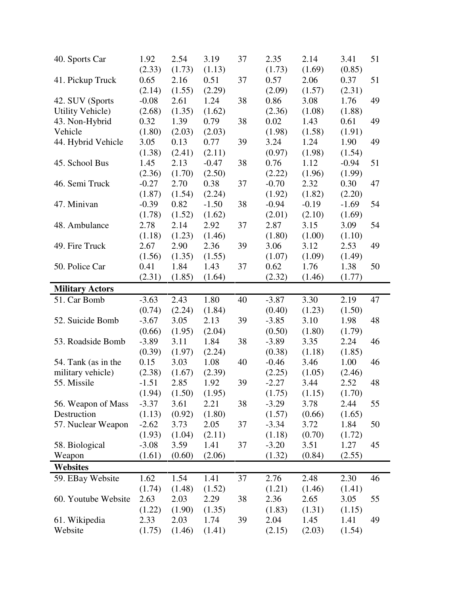| 40. Sports Car           | 1.92           | 2.54           | 3.19           | 37 | 2.35           | 2.14           | 3.41           | 51 |
|--------------------------|----------------|----------------|----------------|----|----------------|----------------|----------------|----|
|                          | (2.33)         | (1.73)         | (1.13)         |    | (1.73)         | (1.69)         | (0.85)         |    |
| 41. Pickup Truck         | 0.65           | 2.16           | 0.51           | 37 | 0.57           | 2.06           | 0.37           | 51 |
|                          | (2.14)         | (1.55)         | (2.29)         |    | (2.09)         | (1.57)         | (2.31)         |    |
| 42. SUV (Sports          | $-0.08$        | 2.61           | 1.24           | 38 | 0.86           | 3.08           | 1.76           | 49 |
| Utility Vehicle)         | (2.68)         | (1.35)         | (1.62)         |    | (2.36)         | (1.08)         | (1.88)         |    |
| 43. Non-Hybrid           | 0.32           | 1.39           | 0.79           | 38 | 0.02           | 1.43           | 0.61           | 49 |
| Vehicle                  | (1.80)         | (2.03)         | (2.03)         |    | (1.98)         | (1.58)         | (1.91)         |    |
| 44. Hybrid Vehicle       | 3.05           | 0.13           | 0.77           | 39 | 3.24           | 1.24           | 1.90           | 49 |
|                          | (1.38)         | (2.41)         | (2.11)         |    | (0.97)         | (1.98)         | (1.54)         |    |
| 45. School Bus           | 1.45           | 2.13           | $-0.47$        | 38 | 0.76           | 1.12           | $-0.94$        | 51 |
|                          | (2.36)         | (1.70)         | (2.50)         |    | (2.22)         | (1.96)         | (1.99)         |    |
| 46. Semi Truck           | $-0.27$        | 2.70           | 0.38           | 37 | $-0.70$        | 2.32           | 0.30           | 47 |
|                          | (1.87)         | (1.54)         | (2.24)         |    | (1.92)         | (1.82)         | (2.20)         |    |
| 47. Minivan              | $-0.39$        | 0.82           | $-1.50$        | 38 | $-0.94$        | $-0.19$        | $-1.69$        | 54 |
|                          | (1.78)         | (1.52)         | (1.62)         |    | (2.01)         | (2.10)         |                |    |
| 48. Ambulance            |                | 2.14           |                |    | 2.87           |                | (1.69)<br>3.09 | 54 |
|                          | 2.78           |                | 2.92           | 37 |                | 3.15           |                |    |
|                          | (1.18)         | (1.23)         | (1.46)         |    | (1.80)         | (1.00)         | (1.10)         |    |
| 49. Fire Truck           | 2.67           | 2.90           | 2.36           | 39 | 3.06           | 3.12           | 2.53           | 49 |
|                          | (1.56)         | (1.35)         | (1.55)         |    | (1.07)         | (1.09)         | (1.49)         |    |
| 50. Police Car           | 0.41           | 1.84           | 1.43           | 37 | 0.62           | 1.76           | 1.38           | 50 |
|                          | (2.31)         | (1.85)         | (1.64)         |    | (2.32)         | (1.46)         | (1.77)         |    |
| <b>Military Actors</b>   |                |                |                |    |                |                |                |    |
| 51. Car Bomb             | $-3.63$        | 2.43           | 1.80           | 40 | $-3.87$        | 3.30           | 2.19           | 47 |
|                          | (0.74)         | (2.24)         | (1.84)         |    | (0.40)         | (1.23)         | (1.50)         |    |
| 52. Suicide Bomb         | $-3.67$        | 3.05           | 2.13           | 39 | $-3.85$        | 3.10           | 1.98           | 48 |
|                          | (0.66)         | (1.95)         | (2.04)         |    | (0.50)         | (1.80)         | (1.79)         |    |
| 53. Roadside Bomb        | $-3.89$        | 3.11           | 1.84           | 38 | $-3.89$        | 3.35           | 2.24           | 46 |
|                          |                |                | (2.24)         |    |                |                | (1.85)         |    |
|                          | (0.39)         | (1.97)         |                |    | (0.38)         | (1.18)         |                |    |
|                          | 0.15           | 3.03           | 1.08           | 40 | $-0.46$        | 3.46           | 1.00           | 46 |
| 54. Tank (as in the      |                |                |                |    |                |                |                |    |
| military vehicle)        | (2.38)         | (1.67)         | (2.39)         |    | (2.25)         | (1.05)         | (2.46)         |    |
| 55. Missile              | $-1.51$        | 2.85           | 1.92           | 39 | $-2.27$        | 3.44           | 2.52           | 48 |
|                          | (1.94)         | (1.50)         | (1.95)         |    | (1.75)         | (1.15)         | (1.70)         |    |
| 56. Weapon of Mass       | $-3.37$        | 3.61           | 2.21           | 38 | $-3.29$        | 3.78           | 2.44           | 55 |
| Destruction              | (1.13)         | (0.92)         | (1.80)         |    | (1.57)         | (0.66)         | (1.65)         |    |
| 57. Nuclear Weapon       | $-2.62$        | 3.73           | 2.05           | 37 | $-3.34$        | 3.72           | 1.84           | 50 |
|                          | (1.93)         | (1.04)         | (2.11)         |    | (1.18)         | (0.70)         | (1.72)         |    |
| 58. Biological           | $-3.08$        | 3.59           | 1.41           | 37 | $-3.20$        | 3.51           | 1.27           | 45 |
| Weapon                   | (1.61)         | (0.60)         | (2.06)         |    | (1.32)         | (0.84)         | (2.55)         |    |
| <b>Websites</b>          |                |                |                |    |                |                |                |    |
| 59. EBay Website         | 1.62           | 1.54           | 1.41           | 37 | 2.76           | 2.48           | 2.30           | 46 |
|                          | (1.74)         | (1.48)         | (1.52)         |    | (1.21)         | (1.46)         | (1.41)         |    |
| 60. Youtube Website      | 2.63           | 2.03           | 2.29           | 38 | 2.36           | 2.65           | 3.05           | 55 |
|                          | (1.22)         | (1.90)         | (1.35)         |    | (1.83)         | (1.31)         | (1.15)         |    |
| 61. Wikipedia<br>Website | 2.33<br>(1.75) | 2.03<br>(1.46) | 1.74<br>(1.41) | 39 | 2.04<br>(2.15) | 1.45<br>(2.03) | 1.41<br>(1.54) | 49 |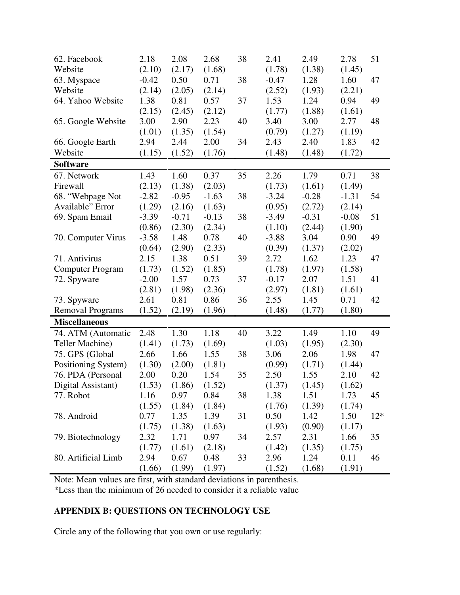| 62. Facebook            | 2.18    | 2.08    | 2.68    | 38 | 2.41    | 2.49    | 2.78    | 51    |
|-------------------------|---------|---------|---------|----|---------|---------|---------|-------|
| Website                 | (2.10)  | (2.17)  | (1.68)  |    | (1.78)  | (1.38)  | (1.45)  |       |
| 63. Myspace             | $-0.42$ | 0.50    | 0.71    | 38 | $-0.47$ | 1.28    | 1.60    | 47    |
| Website                 | (2.14)  | (2.05)  | (2.14)  |    | (2.52)  | (1.93)  | (2.21)  |       |
| 64. Yahoo Website       | 1.38    | 0.81    | 0.57    | 37 | 1.53    | 1.24    | 0.94    | 49    |
|                         | (2.15)  | (2.45)  | (2.12)  |    | (1.77)  | (1.88)  | (1.61)  |       |
| 65. Google Website      | 3.00    | 2.90    | 2.23    | 40 | 3.40    | 3.00    | 2.77    | 48    |
|                         | (1.01)  | (1.35)  | (1.54)  |    | (0.79)  | (1.27)  | (1.19)  |       |
| 66. Google Earth        | 2.94    | 2.44    | 2.00    | 34 | 2.43    | 2.40    | 1.83    | 42    |
| Website                 | (1.15)  | (1.52)  | (1.76)  |    | (1.48)  | (1.48)  | (1.72)  |       |
| <b>Software</b>         |         |         |         |    |         |         |         |       |
| 67. Network             | 1.43    | 1.60    | 0.37    | 35 | 2.26    | 1.79    | 0.71    | 38    |
| Firewall                | (2.13)  | (1.38)  | (2.03)  |    | (1.73)  | (1.61)  | (1.49)  |       |
| 68. "Webpage Not        | $-2.82$ | $-0.95$ | $-1.63$ | 38 | $-3.24$ | $-0.28$ | $-1.31$ | 54    |
| Available" Error        | (1.29)  | (2.16)  | (1.63)  |    | (0.95)  | (2.72)  | (2.14)  |       |
| 69. Spam Email          | $-3.39$ | $-0.71$ | $-0.13$ | 38 | $-3.49$ | $-0.31$ | $-0.08$ | 51    |
|                         | (0.86)  | (2.30)  | (2.34)  |    | (1.10)  | (2.44)  | (1.90)  |       |
| 70. Computer Virus      | $-3.58$ | 1.48    | 0.78    | 40 | $-3.88$ | 3.04    | 0.90    | 49    |
|                         | (0.64)  | (2.90)  | (2.33)  |    | (0.39)  | (1.37)  | (2.02)  |       |
| 71. Antivirus           | 2.15    | 1.38    | 0.51    | 39 | 2.72    | 1.62    | 1.23    | 47    |
| <b>Computer Program</b> | (1.73)  | (1.52)  | (1.85)  |    | (1.78)  | (1.97)  | (1.58)  |       |
| 72. Spyware             | $-2.00$ | 1.57    | 0.73    | 37 | $-0.17$ | 2.07    | 1.51    | 41    |
|                         | (2.81)  | (1.98)  | (2.36)  |    | (2.97)  | (1.81)  | (1.61)  |       |
| 73. Spyware             | 2.61    | 0.81    | 0.86    | 36 | 2.55    | 1.45    | 0.71    | 42    |
| <b>Removal Programs</b> | (1.52)  | (2.19)  | (1.96)  |    | (1.48)  | (1.77)  | (1.80)  |       |
| <b>Miscellaneous</b>    |         |         |         |    |         |         |         |       |
| 74. ATM (Automatic      | 2.48    | 1.30    | 1.18    | 40 | 3.22    | 1.49    | 1.10    | 49    |
| Teller Machine)         | (1.41)  | (1.73)  | (1.69)  |    | (1.03)  | (1.95)  | (2.30)  |       |
| 75. GPS (Global         | 2.66    | 1.66    | 1.55    | 38 | 3.06    | 2.06    | 1.98    | 47    |
| Positioning System)     | (1.30)  | (2.00)  | (1.81)  |    | (0.99)  | (1.71)  | (1.44)  |       |
| 76. PDA (Personal       | 2.00    | 0.20    | 1.54    | 35 | 2.50    | 1.55    | 2.10    | 42    |
| Digital Assistant)      | (1.53)  | (1.86)  | (1.52)  |    | (1.37)  | (1.45)  | (1.62)  |       |
| 77. Robot               | 1.16    | 0.97    | 0.84    | 38 | 1.38    | 1.51    | 1.73    | 45    |
|                         | (1.55)  | (1.84)  | (1.84)  |    | (1.76)  | (1.39)  | (1.74)  |       |
| 78. Android             | 0.77    | 1.35    | 1.39    | 31 | 0.50    | 1.42    | 1.50    | $12*$ |
|                         | (1.75)  | (1.38)  | (1.63)  |    | (1.93)  | (0.90)  | (1.17)  |       |
| 79. Biotechnology       | 2.32    | 1.71    | 0.97    | 34 | 2.57    | 2.31    | 1.66    | 35    |
|                         | (1.77)  | (1.61)  | (2.18)  |    | (1.42)  | (1.35)  | (1.75)  |       |
| 80. Artificial Limb     | 2.94    | 0.67    | 0.48    | 33 | 2.96    | 1.24    | 0.11    | 46    |
|                         | (1.66)  | (1.99)  | (1.97)  |    | (1.52)  | (1.68)  | (1.91)  |       |

Note: Mean values are first, with standard deviations in parenthesis.

\*Less than the minimum of 26 needed to consider it a reliable value

# **APPENDIX B: QUESTIONS ON TECHNOLOGY USE**

Circle any of the following that you own or use regularly: